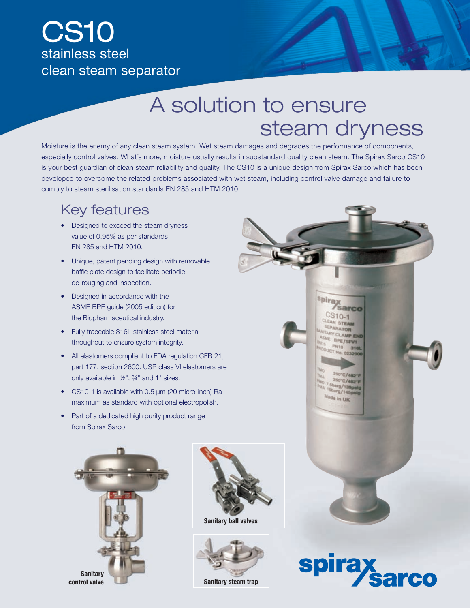## CS10 stainless steel clean steam separator

# A solution to ensure steam dryness

Moisture is the enemy of any clean steam system. Wet steam damages and degrades the performance of components, especially control valves. What's more, moisture usually results in substandard quality clean steam. The Spirax Sarco CS10 is your best guardian of clean steam reliability and quality. The CS10 is a unique design from Spirax Sarco which has been developed to overcome the related problems associated with wet steam, including control valve damage and failure to comply to steam sterilisation standards EN 285 and HTM 2010.

#### Key features

- Designed to exceed the steam dryness value of 0.95% as per standards EN 285 and HTM 2010.
- Unique, patent pending design with removable baffle plate design to facilitate periodic de-rouging and inspection.
- Designed in accordance with the ASME BPE guide (2005 edition) for the Biopharmaceutical industry.
- Fully traceable 316L stainless steel material throughout to ensure system integrity.
- All elastomers compliant to FDA regulation CFR 21, part 177, section 2600. USP class VI elastomers are only available in ½", ¾" and 1" sizes.
- CS10-1 is available with 0.5  $\mu$ m (20 micro-inch) Ra maximum as standard with optional electropolish.
- Part of a dedicated high purity product range from Spirax Sarco.





Sanitary ball valves



**Sanitary steam trap**